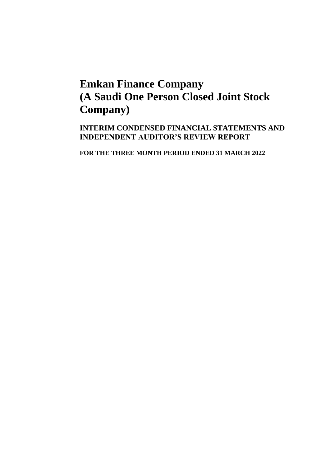**INTERIM CONDENSED FINANCIAL STATEMENTS AND INDEPENDENT AUDITOR'S REVIEW REPORT**

**FOR THE THREE MONTH PERIOD ENDED 31 MARCH 2022**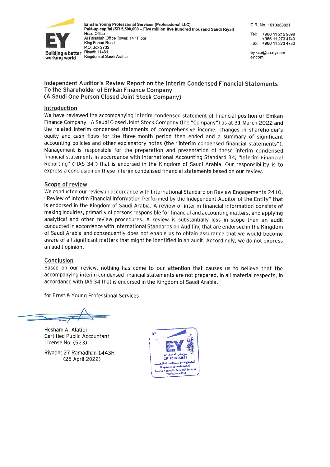

Ernst & Young Professional Services (Professional LLC) Paid-up capital (SR 5,500,000 - Five million five hundred thousand Saudi Rival) Head Office Al Faisaliah Office Tower, 14th Floor King Fahad Road P.O. Box 2732 Riyadh 11461 Kingdom of Saudi Arabia

C.R. No. 1010383821

Tel: +966 11 215 9898 +966 11 273 4740 Fax: +966 11 273 4730

ey.ksa@sa.ey.com ev.com

#### Independent Auditor's Review Report on the Interim Condensed Financial Statements To the Shareholder of Emkan Finance Company (A Saudi One Person Closed Joint Stock Company)

#### Introduction

We have reviewed the accompanying interim condensed statement of financial position of Emkan Finance Company - A Saudi Closed Joint Stock Company (the "Company") as at 31 March 2022 and the related interim condensed statements of comprehensive income, changes in shareholder's equity and cash flows for the three-month period then ended and a summary of significant accounting policies and other explanatory notes (the "interim condensed financial statements"). Management is responsible for the preparation and presentation of these interim condensed financial statements in accordance with International Accounting Standard 34, "Interim Financial Reporting" ("IAS 34") that is endorsed in the Kingdom of Saudi Arabia. Our responsibility is to express a conclusion on these interim condensed financial statements based on our review.

#### Scope of review

We conducted our review in accordance with International Standard on Review Engagements 2410, "Review of Interim Financial Information Performed by the Independent Auditor of the Entity" that is endorsed in the Kingdom of Saudi Arabia. A review of interim financial information consists of making inquiries, primarily of persons responsible for financial and accounting matters, and applying analytical and other review procedures. A review is substantially less in scope than an audit conducted in accordance with International Standards on Auditing that are endorsed in the Kingdom of Saudi Arabia and consequently does not enable us to obtain assurance that we would become aware of all significant matters that might be identified in an audit. Accordingly, we do not express an audit opinion.

#### **Conclusion**

Based on our review, nothing has come to our attention that causes us to believe that the accompanying interim condensed financial statements are not prepared, in all material respects, in accordance with IAS 34 that is endorsed in the Kingdom of Saudi Arabia.

for Ernst & Young Professional Services

Hesham A. Alatiqi **Certified Public Accountant** License No. (523)

Riyadh: 27 Ramadhan 1443H (28 April 2022)

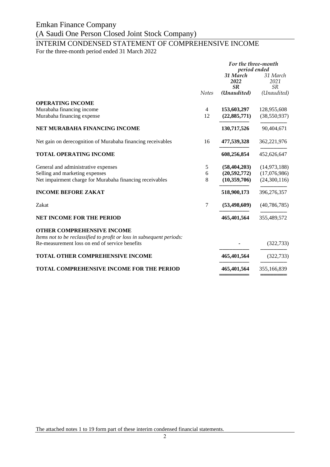### INTERIM CONDENSED STATEMENT OF COMPREHENSIVE INCOME

For the three-month period ended 31 March 2022

|                                                                                                            |              | For the three-month<br>period ended |                               |
|------------------------------------------------------------------------------------------------------------|--------------|-------------------------------------|-------------------------------|
|                                                                                                            |              | 31 March<br>2022<br><b>SR</b>       | 31 March<br>2021<br><b>SR</b> |
|                                                                                                            | <b>Notes</b> | (Unaudited)                         | (Unaudited)                   |
| <b>OPERATING INCOME</b>                                                                                    |              |                                     |                               |
| Murabaha financing income                                                                                  | 4            | 153,603,297                         | 128,955,608                   |
| Murabaha financing expense                                                                                 | 12           | (22, 885, 771)                      | (38, 550, 937)                |
| NET MURABAHA FINANCING INCOME                                                                              |              | 130,717,526                         | 90,404,671                    |
| Net gain on derecognition of Murabaha financing receivables                                                | 16           | 477,539,328                         | 362,221,976                   |
| <b>TOTAL OPERATING INCOME</b>                                                                              |              | 608,256,854                         | 452,626,647                   |
| General and administrative expenses                                                                        | 5            | (58, 404, 203)                      | (14, 973, 188)                |
| Selling and marketing expenses                                                                             | 6            | (20, 592, 772)                      | (17,076,986)                  |
| Net impairment charge for Murabaha financing receivables                                                   | 8            | (10,359,706)                        | (24,300,116)                  |
| <b>INCOME BEFORE ZAKAT</b>                                                                                 |              | 518,900,173                         | 396,276,357                   |
| Zakat                                                                                                      | 7            | (53, 498, 609)                      | (40, 786, 785)                |
| <b>NET INCOME FOR THE PERIOD</b>                                                                           |              | 465,401,564                         | 355,489,572                   |
| <b>OTHER COMPREHENSIVE INCOME</b><br>Items not to be reclassified to profit or loss in subsequent periods: |              |                                     |                               |
| Re-measurement loss on end of service benefits                                                             |              |                                     | (322, 733)                    |
| <b>TOTAL OTHER COMPREHENSIVE INCOME</b>                                                                    |              | 465,401,564                         | (322, 733)                    |
| <b>TOTAL COMPREHENSIVE INCOME FOR THE PERIOD</b>                                                           |              | 465,401,564                         | 355,166,839                   |
|                                                                                                            |              |                                     |                               |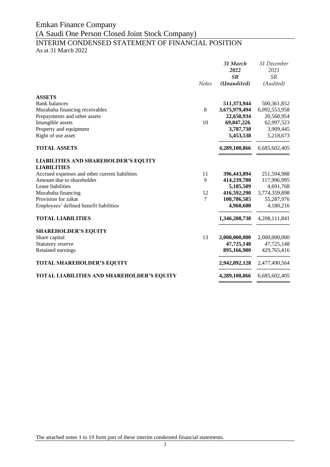### INTERIM CONDENSED STATEMENT OF FINANCIAL POSITION As at 31 March 2022

|                                                |              | 31 March<br>2022<br>SR | 31 December<br>2021<br><b>SR</b> |
|------------------------------------------------|--------------|------------------------|----------------------------------|
|                                                | <b>Notes</b> | (Unaudited)            | (Audited)                        |
| <b>ASSETS</b>                                  |              |                        |                                  |
| <b>Bank</b> balances                           |              | 511,373,944            | 500, 361, 852                    |
| Murabaha financing receivables                 | 8            | 3,675,979,494          | 6,092,553,958                    |
| Prepayments and other assets                   |              | 22,658,934             | 20,560,954                       |
| Intangible assets                              | 10           | 69,847,226             | 62,997,523                       |
| Property and equipment                         |              | 3,787,730              | 3,909,445                        |
| Right of use asset                             |              | 5,453,538              | 5,218,673                        |
| <b>TOTAL ASSETS</b>                            |              | 4,289,100,866          | 6,685,602,405                    |
| <b>LIABILITIES AND SHAREHOLDER'S EQUITY</b>    |              |                        |                                  |
| <b>LIABILITIES</b>                             |              |                        |                                  |
| Accrued expenses and other current liabilities | 11           | 396,443,894            | 251,594,988                      |
| Amount due to shareholder                      | 9            | 414,239,780            | 117,996,995                      |
| Lease liabilities                              |              | 5,185,509              | 4,691,768                        |
| Murabaha financing                             | 12           | 416,592,290            | 3,774,359,898                    |
| Provision for zakat                            | 7            | 108,786,585            | 55,287,976                       |
| Employees' defined benefit liabilities         |              | 4,960,680              | 4,180,216                        |
| <b>TOTAL LIABILITIES</b>                       |              | 1,346,208,738          | 4,208,111,841                    |
| <b>SHAREHOLDER'S EQUITY</b>                    |              |                        |                                  |
| Share capital                                  | 13           | 2,000,000,000          | 2,000,000,000                    |
| Statutory reserve                              |              | 47,725,148             | 47,725,148                       |
| Retained earnings                              |              | 895,166,980            | 429,765,416                      |
| <b>TOTAL SHAREHOLDER'S EQUITY</b>              |              | 2,942,892,128          | 2,477,490,564                    |
| TOTAL LIABILITIES AND SHAREHOLDER'S EQUITY     |              | 4,289,100,866          | 6,685,602,405                    |
|                                                |              |                        |                                  |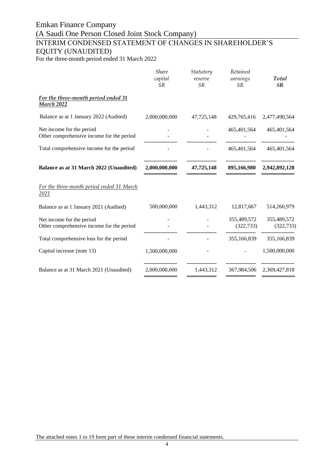## Emkan Finance Company (A Saudi One Person Closed Joint Stock Company) INTERIM CONDENSED STATEMENT OF CHANGES IN SHAREHOLDER'S EQUITY (UNAUDITED)

For the three-month period ended 31 March 2022

| <b>Share</b><br>capital<br><b>SR</b> | Statutory<br>reserve<br><b>SR</b> | Retained<br>earnings<br><b>SR</b> | Total<br><b>SR</b>        |
|--------------------------------------|-----------------------------------|-----------------------------------|---------------------------|
|                                      |                                   |                                   |                           |
| 2,000,000,000                        | 47,725,148                        | 429,765,416                       | 2,477,490,564             |
|                                      |                                   | 465,401,564                       | 465,401,564               |
|                                      |                                   | 465,401,564                       | 465,401,564               |
| 2,000,000,000                        | 47,725,148                        | 895,166,980                       | 2,942,892,128             |
|                                      |                                   |                                   |                           |
| 500,000,000                          | 1,443,312                         | 12,817,667                        | 514,260,979               |
|                                      |                                   | 355,489,572<br>(322, 733)         | 355,489,572<br>(322, 733) |
|                                      |                                   | 355,166,839                       | 355,166,839               |
| 1,500,000,000                        |                                   |                                   | 1,500,000,000             |
| 2,000,000,000                        | 1,443,312                         | 367,984,506                       | 2,369,427,818             |
|                                      |                                   |                                   |                           |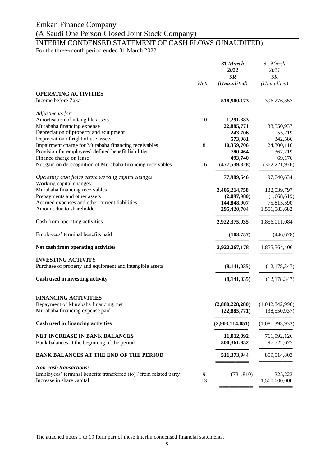## Emkan Finance Company

## (A Saudi One Person Closed Joint Stock Company)

## INTERIM CONDENSED STATEMENT OF CASH FLOWS (UNAUDITED)

For the three-month period ended 31 March 2022

|                                                                                |              | 31 March<br>2022           | 31 March<br>2021          |
|--------------------------------------------------------------------------------|--------------|----------------------------|---------------------------|
|                                                                                | <b>Notes</b> | <b>SR</b><br>(Unaudited)   | <b>SR</b><br>(Unaudited)  |
| <b>OPERATING ACTIVITIES</b>                                                    |              |                            |                           |
| Income before Zakat                                                            |              | 518,900,173                | 396,276,357               |
| Adjustments for:                                                               |              |                            |                           |
| Amortisation of intangible assets                                              | 10           | 1,291,333                  |                           |
| Murabaha financing expense<br>Depreciation of property and equipment           |              | 22,885,771<br>243,706      | 38,550,937<br>55,719      |
| Depreciation of right of use assets                                            |              | 573,981                    | 342,586                   |
| Impairment charge for Murabaha financing receivables                           | 8            | 10,359,706                 | 24,300,116                |
| Provision for employees' defined benefit liabilities                           |              | 780,464                    | 367,719                   |
| Finance charge on lease                                                        |              | 493,740                    | 69,176                    |
| Net gain on derecognition of Murabaha financing receivables                    | 16           | (477, 539, 328)            | (362, 221, 976)           |
| Operating cash flows before working capital changes                            |              | 77,989,546                 | 97,740,634                |
| Working capital changes:                                                       |              |                            |                           |
| Murabaha financing receivables                                                 |              | 2,406,214,758              | 132,539,797               |
| Prepayments and other assets<br>Accrued expenses and other current liabilities |              | (2,097,980)<br>144,848,907 | (1,668,619)<br>75,815,590 |
| Amount due to shareholder                                                      |              | 295,420,704                | 1,551,583,682             |
|                                                                                |              |                            |                           |
| Cash from operating activities                                                 |              | 2,922,375,935              | 1,856,011,084             |
| Employees' terminal benefits paid                                              |              | (108,757)                  | (446, 678)                |
| Net cash from operating activities                                             |              | 2,922,267,178              | 1,855,564,406             |
| <b>INVESTING ACTIVITY</b>                                                      |              |                            |                           |
| Purchase of property and equipment and intangible assets                       |              | (8, 141, 035)              | (12, 178, 347)            |
| Cash used in investing activity                                                |              | (8, 141, 035)              | (12, 178, 347)            |
| <b>FINANCING ACTIVITIES</b>                                                    |              |                            |                           |
| Repayment of Murabaha financing, net                                           |              | (2,880,228,280)            | (1,042,842,996)           |
| Murabaha financing expense paid                                                |              | (22, 885, 771)             | (38, 550, 937)            |
| Cash used in financing activities                                              |              |                            |                           |
|                                                                                |              | (2,903,114,051)            | (1,081,393,933)           |
| NET INCREASE IN BANK BALANCES<br>Bank balances at the beginning of the period  |              | 11,012,092<br>500,361,852  | 761,992,126<br>97,522,677 |
|                                                                                |              |                            |                           |
| <b>BANK BALANCES AT THE END OF THE PERIOD</b>                                  |              | 511,373,944                | 859,514,803               |
| <b>Non-cash transactions:</b>                                                  |              |                            |                           |
| Employees' terminal benefits transferred (to) / from related party             | 9            | (731, 810)                 | 325,223                   |
| Increase in share capital                                                      | 13           |                            | 1,500,000,000             |

The attached notes 1 to 19 form part of these interim condensed financial statements.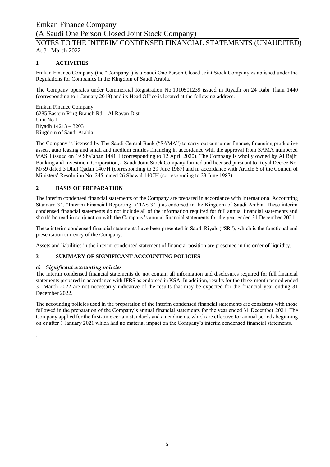### NOTES TO THE INTERIM CONDENSED FINANCIAL STATEMENTS (UNAUDITED) At 31 March 2022

### **1 ACTIVITIES**

Emkan Finance Company (the "Company") is a Saudi One Person Closed Joint Stock Company established under the Regulations for Companies in the Kingdom of Saudi Arabia.

The Company operates under Commercial Registration No.1010501239 issued in Riyadh on 24 Rabi Thani 1440 (corresponding to 1 January 2019) and its Head Office is located at the following address:

Emkan Finance Company 6285 Eastern Ring Branch Rd – Al Rayan Dist. Unit No 1 Riyadh 14213 – 3203 Kingdom of Saudi Arabia

The Company is licensed by The Saudi Central Bank ("SAMA") to carry out consumer finance, financing productive assets, auto leasing and small and medium entities financing in accordance with the approval from SAMA numbered 9/ASH issued on 19 Sha'aban 1441H (corresponding to 12 April 2020). The Company is wholly owned by Al Rajhi Banking and Investment Corporation, a Saudi Joint Stock Company formed and licensed pursuant to Royal Decree No. M/59 dated 3 Dhul Qadah 1407H (corresponding to 29 June 1987) and in accordance with Article 6 of the Council of Ministers' Resolution No. 245, dated 26 Shawal 1407H (corresponding to 23 June 1987).

### **2 BASIS OF PREPARATION**

The interim condensed financial statements of the Company are prepared in accordance with International Accounting Standard 34, "Interim Financial Reporting" ("IAS 34") as endorsed in the Kingdom of Saudi Arabia. These interim condensed financial statements do not include all of the information required for full annual financial statements and should be read in conjunction with the Company's annual financial statements for the year ended 31 December 2021.

These interim condensed financial statements have been presented in Saudi Riyals ("SR"), which is the functional and presentation currency of the Company.

Assets and liabilities in the interim condensed statement of financial position are presented in the order of liquidity.

### **3 SUMMARY OF SIGNIFICANT ACCOUNTING POLICIES**

### *a) Significant accounting policies*

.

The interim condensed financial statements do not contain all information and disclosures required for full financial statements prepared in accordance with IFRS as endorsed in KSA. In addition, results for the three-month period ended 31 March 2022 are not necessarily indicative of the results that may be expected for the financial year ending 31 December 2022.

The accounting policies used in the preparation of the interim condensed financial statements are consistent with those followed in the preparation of the Company's annual financial statements for the year ended 31 December 2021. The Company applied for the first-time certain standards and amendments, which are effective for annual periods beginning on or after 1 January 2021 which had no material impact on the Company's interim condensed financial statements.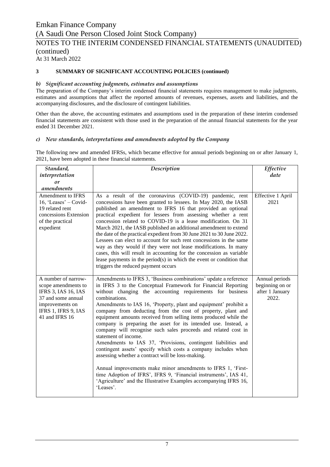### NOTES TO THE INTERIM CONDENSED FINANCIAL STATEMENTS (UNAUDITED) (continued)

At 31 March 2022

### **3 SUMMARY OF SIGNIFICANT ACCOUNTING POLICIES (continued)**

#### *b) Significant accounting judgments, estimates and assumptions*

The preparation of the Company's interim condensed financial statements requires management to make judgments, estimates and assumptions that affect the reported amounts of revenues, expenses, assets and liabilities, and the accompanying disclosures, and the disclosure of contingent liabilities.

Other than the above, the accounting estimates and assumptions used in the preparation of these interim condensed financial statements are consistent with those used in the preparation of the annual financial statements for the year ended 31 December 2021.

#### *c) New standards, interpretations and amendments adopted by the Company*

The following new and amended IFRSs, which became effective for annual periods beginning on or after January 1, 2021, have been adopted in these financial statements.

| Standard,                                                                                                                                                  | <b>Description</b>                                                                                                                                                                                                                                                                                                                                                                                                                                                                                                                                                                                                                                                                                                                                                                                                                                                                                                                                                                                | Effective                                                     |
|------------------------------------------------------------------------------------------------------------------------------------------------------------|---------------------------------------------------------------------------------------------------------------------------------------------------------------------------------------------------------------------------------------------------------------------------------------------------------------------------------------------------------------------------------------------------------------------------------------------------------------------------------------------------------------------------------------------------------------------------------------------------------------------------------------------------------------------------------------------------------------------------------------------------------------------------------------------------------------------------------------------------------------------------------------------------------------------------------------------------------------------------------------------------|---------------------------------------------------------------|
| interpretation                                                                                                                                             |                                                                                                                                                                                                                                                                                                                                                                                                                                                                                                                                                                                                                                                                                                                                                                                                                                                                                                                                                                                                   | date                                                          |
| or                                                                                                                                                         |                                                                                                                                                                                                                                                                                                                                                                                                                                                                                                                                                                                                                                                                                                                                                                                                                                                                                                                                                                                                   |                                                               |
| amendments                                                                                                                                                 |                                                                                                                                                                                                                                                                                                                                                                                                                                                                                                                                                                                                                                                                                                                                                                                                                                                                                                                                                                                                   |                                                               |
| <b>Amendment to IFRS</b><br>16, 'Leases' $-$ Covid-<br>19 related rent<br>concessions Extension<br>of the practical<br>expedient                           | As a result of the coronavirus (COVID-19) pandemic, rent<br>concessions have been granted to lessees. In May 2020, the IASB<br>published an amendment to IFRS 16 that provided an optional<br>practical expedient for lessees from assessing whether a rent<br>concession related to COVID-19 is a lease modification. On 31<br>March 2021, the IASB published an additional amendment to extend<br>the date of the practical expedient from 30 June 2021 to 30 June 2022.<br>Lessees can elect to account for such rent concessions in the same<br>way as they would if they were not lease modifications. In many<br>cases, this will result in accounting for the concession as variable<br>lease payments in the period(s) in which the event or condition that<br>triggers the reduced payment occurs                                                                                                                                                                                        | Effective 1 April<br>2021                                     |
| A number of narrow-<br>scope amendments to<br><b>IFRS 3, IAS 16, IAS</b><br>37 and some annual<br>improvements on<br>IFRS 1, IFRS 9, IAS<br>41 and IFRS 16 | Amendments to IFRS 3, 'Business combinations' update a reference<br>in IFRS 3 to the Conceptual Framework for Financial Reporting<br>without changing the accounting requirements for business<br>combinations.<br>Amendments to IAS 16, 'Property, plant and equipment' prohibit a<br>company from deducting from the cost of property, plant and<br>equipment amounts received from selling items produced while the<br>company is preparing the asset for its intended use. Instead, a<br>company will recognise such sales proceeds and related cost in<br>statement of income.<br>Amendments to IAS 37, 'Provisions, contingent liabilities and<br>contingent assets' specify which costs a company includes when<br>assessing whether a contract will be loss-making.<br>Annual improvements make minor amendments to IFRS 1, 'First-<br>time Adoption of IFRS', IFRS 9, 'Financial instruments', IAS 41,<br>'Agriculture' and the Illustrative Examples accompanying IFRS 16,<br>'Leases'. | Annual periods<br>beginning on or<br>after 1 January<br>2022. |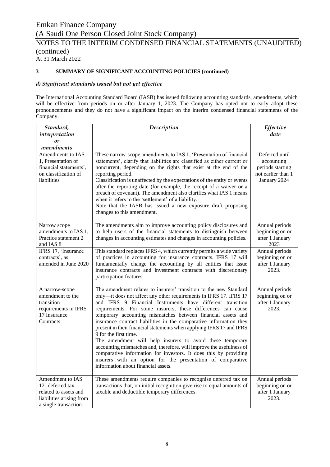### **3 SUMMARY OF SIGNIFICANT ACCOUNTING POLICIES (continued)**

#### *d) Significant standards issued but not yet effective*

The International Accounting Standard Board (IASB) has issued following accounting standards, amendments, which will be effective from periods on or after January 1, 2023. The Company has opted not to early adopt these pronouncements and they do not have a significant impact on the interim condensed financial statements of the Company.

| Standard,<br>interpretation<br>or                                                                                      | <b>Description</b>                                                                                                                                                                                                                                                                                                                                                                                                                                                                                                                                                                                                                                                                                                                                                                                                          | Effective<br>date                                                                      |
|------------------------------------------------------------------------------------------------------------------------|-----------------------------------------------------------------------------------------------------------------------------------------------------------------------------------------------------------------------------------------------------------------------------------------------------------------------------------------------------------------------------------------------------------------------------------------------------------------------------------------------------------------------------------------------------------------------------------------------------------------------------------------------------------------------------------------------------------------------------------------------------------------------------------------------------------------------------|----------------------------------------------------------------------------------------|
| amendments<br>Amendments to IAS<br>1, Presentation of<br>financial statements',<br>on classification of<br>liabilities | These narrow-scope amendments to IAS 1, 'Presentation of financial<br>statements', clarify that liabilities are classified as either current or<br>noncurrent, depending on the rights that exist at the end of the<br>reporting period.<br>Classification is unaffected by the expectations of the entity or events<br>after the reporting date (for example, the receipt of a waiver or a<br>breach of covenant). The amendment also clarifies what IAS 1 means<br>when it refers to the 'settlement' of a liability.<br>Note that the IASB has issued a new exposure draft proposing<br>changes to this amendment.                                                                                                                                                                                                       | Deferred until<br>accounting<br>periods starting<br>not earlier than 1<br>January 2024 |
| Narrow scope<br>amendments to IAS 1,<br>Practice statement 2<br>and IAS 8                                              | The amendments aim to improve accounting policy disclosures and<br>to help users of the financial statements to distinguish between<br>changes in accounting estimates and changes in accounting policies.                                                                                                                                                                                                                                                                                                                                                                                                                                                                                                                                                                                                                  | Annual periods<br>beginning on or<br>after 1 January<br>2023                           |
| IFRS 17, 'Insurance<br>contracts', as<br>amended in June 2020                                                          | This standard replaces IFRS 4, which currently permits a wide variety<br>of practices in accounting for insurance contracts. IFRS 17 will<br>fundamentally change the accounting by all entities that issue<br>insurance contracts and investment contracts with discretionary<br>participation features.                                                                                                                                                                                                                                                                                                                                                                                                                                                                                                                   | Annual periods<br>beginning on or<br>after 1 January<br>2023.                          |
| A narrow-scope<br>amendment to the<br>transition<br>requirements in IFRS<br>17 Insurance<br>Contracts                  | The amendment relates to insurers' transition to the new Standard<br>only-it does not affect any other requirements in IFRS 17. IFRS 17<br>and IFRS 9 Financial Instruments have different transition<br>requirements. For some insurers, these differences can cause<br>temporary accounting mismatches between financial assets and<br>insurance contract liabilities in the comparative information they<br>present in their financial statements when applying IFRS 17 and IFRS<br>9 for the first time.<br>The amendment will help insurers to avoid these temporary<br>accounting mismatches and, therefore, will improve the usefulness of<br>comparative information for investors. It does this by providing<br>insurers with an option for the presentation of comparative<br>information about financial assets. | Annual periods<br>beginning on or<br>after 1 January<br>2023.                          |
| Amendment to IAS<br>12- deferred tax<br>related to assets and<br>liabilities arising from<br>a single transaction      | These amendments require companies to recognise deferred tax on<br>transactions that, on initial recognition give rise to equal amounts of<br>taxable and deductible temporary differences.                                                                                                                                                                                                                                                                                                                                                                                                                                                                                                                                                                                                                                 | Annual periods<br>beginning on or<br>after 1 January<br>2023.                          |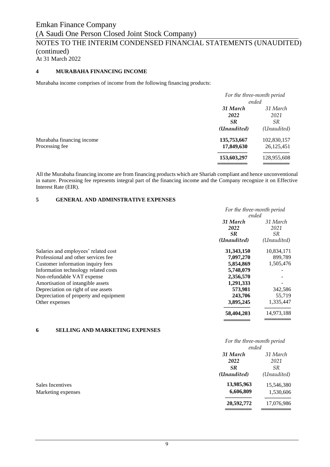### **4 MURABAHA FINANCING INCOME**

Murabaha income comprises of income from the following financing products:

|                           |             | For the three-month period |  |
|---------------------------|-------------|----------------------------|--|
|                           |             | ended                      |  |
|                           | 31 March    | 31 March                   |  |
|                           | 2022        | 2021                       |  |
|                           | <b>SR</b>   | <i>SR</i>                  |  |
|                           | (Unaudited) | (Unaudited)                |  |
| Murabaha financing income | 135,753,667 | 102,830,157                |  |
| Processing fee            | 17,849,630  | 26, 125, 451               |  |
|                           | 153,603,297 | 128,955,608                |  |
|                           |             |                            |  |

All the Murabaha financing income are from financing products which are Shariah compliant and hence unconventional in nature. Processing fee represents integral part of the financing income and the Company recognize it on Effective Interest Rate (EIR).

### **5 GENERAL AND ADMINSTRATIVE EXPENSES**

|                                        | For the three-month period |             |
|----------------------------------------|----------------------------|-------------|
|                                        | ended                      |             |
|                                        | 31 March                   | 31 March    |
|                                        | 2022                       | 2021        |
|                                        | <b>SR</b>                  | SR.         |
|                                        | (Unaudited)                | (Unaudited) |
| Salaries and employees' related cost   | 31, 343, 150               | 10,834,171  |
| Professional and other services fee    | 7,097,270                  | 899,789     |
| Customer information inquiry fees      | 5,854,869                  | 1,505,476   |
| Information technology related costs   | 5,748,079                  |             |
| Non-refundable VAT expense             | 2,356,570                  |             |
| Amortisation of intangible assets      | 1,291,333                  |             |
| Depreciation on right of use assets    | 573,981                    | 342,586     |
| Depreciation of property and equipment | 243,706                    | 55,719      |
| Other expenses                         | 3,895,245                  | 1,335,447   |
|                                        | 58,404,203                 | 14,973,188  |
|                                        |                            |             |

### **6 SELLING AND MARKETING EXPENSES**

|                    | For the three-month period |             |
|--------------------|----------------------------|-------------|
|                    | ended                      |             |
|                    | 31 March                   | 31 March    |
|                    | 2022                       | 2021        |
|                    | <b>SR</b>                  | <i>SR</i>   |
|                    | (Unaudited)                | (Unaudited) |
| Sales Incentives   | 13,985,963                 | 15,546,380  |
| Marketing expenses | 6,606,809                  | 1,530,606   |
|                    | 20,592,772                 | 17,076,986  |

══════════<br>════════════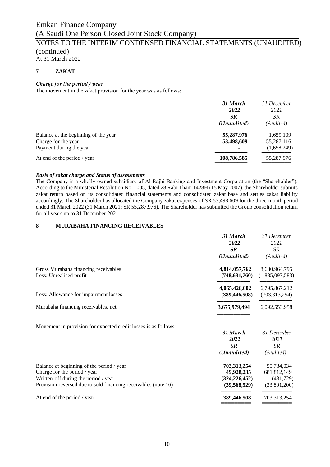**7 ZAKAT** 

### *Charge for the period / year*

The movement in the zakat provision for the year was as follows:

| 31 March    | 31 December |
|-------------|-------------|
| 2022        | 2021        |
| <b>SR</b>   | <i>SR</i>   |
| (Unaudited) | (Audited)   |
| 55,287,976  | 1,659,109   |
| 53,498,609  | 55,287,116  |
|             | (1,658,249) |
| 108,786,585 | 55,287,976  |
|             |             |

#### *Basis of zakat charge and Status of assessments*

The Company is a wholly owned subsidiary of Al Rajhi Banking and Investment Corporation (the "Shareholder"). According to the Ministerial Resolution No. 1005, dated 28 Rabi Thani 1428H (15 May 2007), the Shareholder submits zakat return based on its consolidated financial statements and consolidated zakat base and settles zakat liability accordingly. The Shareholder has allocated the Company zakat expenses of SR 53,498,609 for the three-month period ended 31 March 2022 (31 March 2021: SR 55,287,976). The Shareholder has submitted the Group consolidation return for all years up to 31 December 2021.

#### **8 MURABAHA FINANCING RECEIVABLES**

| 31 March        | 31 December     |
|-----------------|-----------------|
| 2022            | 2021            |
| <b>SR</b>       | <i>SR</i>       |
| (Unaudited)     | (Audited)       |
| 4,814,057,762   | 8,680,964,795   |
| (748, 631, 760) | (1,885,097,583) |
| 4,065,426,002   | 6,795,867,212   |
| (389, 446, 508) | (703, 313, 254) |
| 3,675,979,494   | 6,092,553,958   |
| 31 March        | 31 December     |
| 2022            | 2021            |
| <b>SR</b>       | <b>SR</b>       |
| (Unaudited)     | (Audited)       |
| 703,313,254     | 55,734,034      |
| 49,928,235      | 681, 812, 149   |
| (324, 226, 452) | (431,729)       |
| (39, 568, 529)  | (33,801,200)    |
| 389,446,508     | 703,313,254     |
|                 |                 |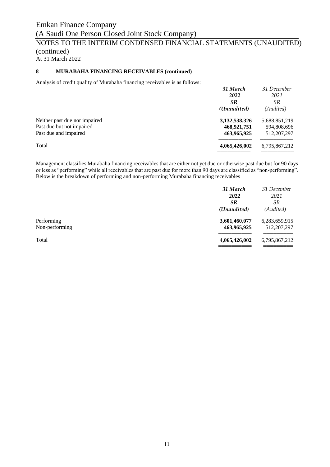### **8 MURABAHA FINANCING RECEIVABLES (continued)**

Analysis of credit quality of Murabaha financing receivables is as follows:

|                               | 31 March<br>2022<br><b>SR</b><br>(Unaudited) | 31 December<br>2021<br><b>SR</b><br>(Audited) |
|-------------------------------|----------------------------------------------|-----------------------------------------------|
| Neither past due nor impaired | 3,132,538,326                                | 5,688,851,219                                 |
| Past due but not impaired     | 468,921,751                                  | 594,808,696                                   |
| Past due and impaired         | 463,965,925                                  | 512, 207, 297                                 |
| Total                         | 4,065,426,002                                | 6,795,867,212                                 |

Management classifies Murabaha financing receivables that are either not yet due or otherwise past due but for 90 days or less as "performing" while all receivables that are past due for more than 90 days are classified as "non-performing". Below is the breakdown of performing and non-performing Murabaha financing receivables

|                | 31 March      | 31 December   |
|----------------|---------------|---------------|
|                | 2022          | 2021          |
|                | <b>SR</b>     | <i>SR</i>     |
|                | (Unaudited)   | (Audited)     |
| Performing     | 3,601,460,077 | 6,283,659,915 |
| Non-performing | 463,965,925   | 512, 207, 297 |
| Total          | 4,065,426,002 | 6,795,867,212 |
|                |               |               |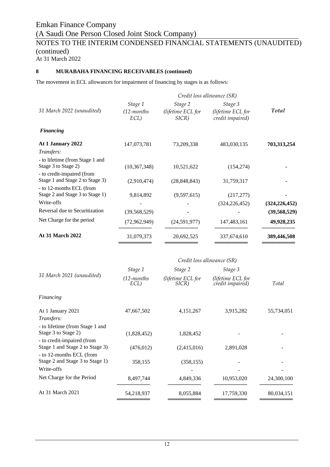### **8 MURABAHA FINANCING RECEIVABLES (continued)**

The movement in ECL allowances for impairment of financing by stages is as follows:

|                                                               |                                  |                                       | Credit loss allowance (SR)                       |                 |
|---------------------------------------------------------------|----------------------------------|---------------------------------------|--------------------------------------------------|-----------------|
| 31 March 2022 (unaudited)                                     | Stage 1<br>$(12$ -months<br>ECL) | Stage 2<br>(lifetime ECL for<br>SICR) | Stage 3<br>(lifetime ECL for<br>credit impaired) | <b>Total</b>    |
| <b>Financing</b>                                              |                                  |                                       |                                                  |                 |
| At 1 January 2022                                             | 147,073,781                      | 73,209,338                            | 483,030,135                                      | 703,313,254     |
| Transfers:                                                    |                                  |                                       |                                                  |                 |
| - to lifetime (from Stage 1 and<br>Stage 3 to Stage 2)        | (10, 367, 348)                   | 10,521,622                            | (154, 274)                                       |                 |
| - to credit-impaired (from<br>Stage 1 and Stage 2 to Stage 3) | (2,910,474)                      | (28, 848, 843)                        | 31,759,317                                       |                 |
| - to 12-months ECL (from<br>Stage 2 and Stage 3 to Stage 1)   | 9,814,892                        | (9,597,615)                           | (217, 277)                                       |                 |
| Write-offs                                                    |                                  |                                       | (324, 226, 452)                                  | (324, 226, 452) |
| Reversal due to Securitization                                | (39, 568, 529)                   |                                       |                                                  | (39, 568, 529)  |
| Net Charge for the period                                     | (72,962,949)                     | (24,591,977)                          | 147, 483, 161                                    | 49,928,235      |
| <b>At 31 March 2022</b>                                       | 31,079,373                       | 20,692,525                            | 337,674,610                                      | 389,446,508     |

| Stage 1            | Stage 2                    | Stage 3                               |                            |
|--------------------|----------------------------|---------------------------------------|----------------------------|
| (12-months<br>ECL) | (lifetime ECL for<br>SICR) | (lifetime ECL for<br>credit impaired) | Total                      |
|                    |                            |                                       |                            |
| 47,667,502         | 4, 151, 267                | 3,915,282                             | 55,734,051                 |
|                    |                            |                                       |                            |
| (1,828,452)        | 1,828,452                  |                                       |                            |
| (476, 012)         | (2,415,016)                | 2,891,028                             |                            |
| 358,155            | (358, 155)                 |                                       |                            |
|                    |                            |                                       |                            |
| 8,497,744          | 4,849,336                  | 10,953,020                            | 24,300,100                 |
| 54,218,937         | 8,055,884                  | 17,759,330                            | 80,034,151                 |
|                    |                            |                                       | Credit loss allowance (SR) |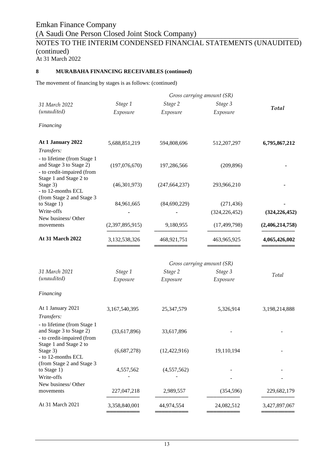### **8 MURABAHA FINANCING RECEIVABLES (continued)**

The movement of financing by stages is as follows: (continued)

|                                                                                                                              |                 |                 | Gross carrying amount (SR)    |                 |
|------------------------------------------------------------------------------------------------------------------------------|-----------------|-----------------|-------------------------------|-----------------|
| 31 March 2022                                                                                                                | Stage 1         | Stage 2         | Stage 3                       |                 |
| (unaudited)                                                                                                                  | Exposure        | Exposure        | Exposure                      | Total           |
| Financing                                                                                                                    |                 |                 |                               |                 |
| At 1 January 2022                                                                                                            | 5,688,851,219   | 594,808,696     | 512,207,297                   | 6,795,867,212   |
| Transfers:<br>- to lifetime (from Stage 1<br>and Stage 3 to Stage 2)<br>- to credit-impaired (from<br>Stage 1 and Stage 2 to | (197,076,670)   | 197,286,566     | (209, 896)                    |                 |
| Stage 3)<br>- to 12-months ECL                                                                                               | (46,301,973)    | (247, 664, 237) | 293,966,210                   |                 |
| (from Stage 2 and Stage 3<br>to Stage 1)<br>Write-offs<br>New business/Other                                                 | 84,961,665      | (84, 690, 229)  | (271, 436)<br>(324, 226, 452) | (324, 226, 452) |
| movements                                                                                                                    | (2,397,895,915) | 9,180,955       | (17, 499, 798)                | (2,406,214,758) |
| At 31 March 2022                                                                                                             | 3,132,538,326   | 468,921,751     | 463,965,925                   | 4,065,426,002   |
|                                                                                                                              |                 |                 | Gross carrying amount (SR)    |                 |
| 31 March 2021                                                                                                                | Stage 1         | Stage 2         | Stage 3                       | Total           |
| (unaudited)                                                                                                                  | Exposure        | Exposure        | Exposure                      |                 |
| Financing                                                                                                                    |                 |                 |                               |                 |
| At 1 January 2021<br>Transfers:                                                                                              | 3,167,540,395   | 25,347,579      | 5,326,914                     | 3,198,214,888   |
| - to lifetime (from Stage 1<br>and Stage 3 to Stage 2)<br>- to credit-impaired (from<br>Stage 1 and Stage 2 to               | (33,617,896)    | 33,617,896      |                               |                 |
| Stage 3)<br>- to 12-months ECL                                                                                               | (6,687,278)     | (12, 422, 916)  | 19,110,194                    |                 |
| (from Stage 2 and Stage 3<br>to Stage 1)<br>Write-offs                                                                       | 4,557,562       | (4,557,562)     |                               |                 |
| New business/Other<br>movements                                                                                              | 227,047,218     | 2,989,557       | (354, 596)                    | 229,682,179     |
| At 31 March 2021                                                                                                             | 3,358,840,001   | 44,974,554      | 24,082,512                    | 3,427,897,067   |
|                                                                                                                              |                 |                 |                               |                 |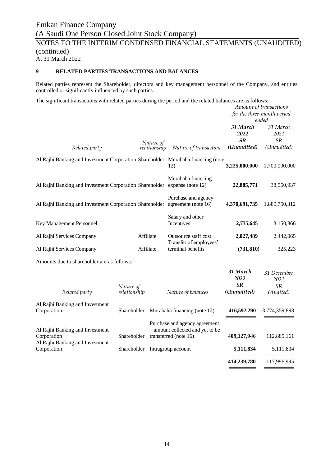### **9 RELATED PARTIES TRANSACTIONS AND BALANCES**

Related parties represent the Shareholder, directors and key management personnel of the Company, and entities controlled or significantly influenced by such parties.

The significant transactions with related parties during the period and the related balances are as follows:

|                                                                                   |                           |                           |                                                                                            |                                       | Amount of transactions<br>for the three-month period<br>ended |
|-----------------------------------------------------------------------------------|---------------------------|---------------------------|--------------------------------------------------------------------------------------------|---------------------------------------|---------------------------------------------------------------|
| Related party                                                                     |                           | Nature of<br>relationship | Nature of transaction                                                                      | 31 March<br>2022<br>SR<br>(Unaudited) | 31 March<br>2021<br><b>SR</b><br>(Unaudited)                  |
| Al Rajhi Banking and Investment Corporation Shareholder Murabaha financing (note  |                           |                           | 12)                                                                                        | 3,225,000,000                         | 1,700,000,000                                                 |
| Al Rajhi Banking and Investment Corporation Shareholder expense (note 12)         |                           |                           | Murabaha financing                                                                         | 22,885,771                            | 38,550,937                                                    |
| Al Rajhi Banking and Investment Corporation Shareholder agreement (note 16)       |                           |                           | Purchase and agency                                                                        | 4,370,691,735                         | 1,889,750,312                                                 |
| Key Management Personnel                                                          |                           |                           | Salary and other<br>Incentives                                                             | 2,735,645                             | 3,150,866                                                     |
| Al Rajhi Services Company                                                         |                           | Affiliate                 | Outsource staff cost                                                                       | 2,027,489                             | 2,442,065                                                     |
| Al Rajhi Services Company                                                         |                           | Affiliate                 | Transfer of employees'<br>terminal benefits                                                | (731, 810)                            | 325,223                                                       |
| Amounts due to shareholder are as follows:                                        |                           |                           |                                                                                            |                                       |                                                               |
| Related party                                                                     | Nature of<br>relationship |                           | Nature of balances                                                                         | 31 March<br>2022<br>SR<br>(Unaudited) | 31 December<br>2021<br><b>SR</b><br>(Audited)                 |
| Al Rajhi Banking and Investment<br>Corporation                                    | Shareholder               |                           | Murabaha financing (note 12)                                                               | 416,592,290                           | 3,774,359,898                                                 |
| Al Rajhi Banking and Investment<br>Corporation<br>Al Rajhi Banking and Investment | Shareholder               |                           | Purchase and agency agreement<br>- amount collected and yet to be<br>transferred (note 16) | 409,127,946                           | 112,885,161                                                   |
| Corporation                                                                       | Shareholder               |                           | Intragroup account                                                                         | 5,111,834                             | 5,111,834                                                     |

**────────** ───────── **414,239,780** 117,996,995 ═════════════════════════════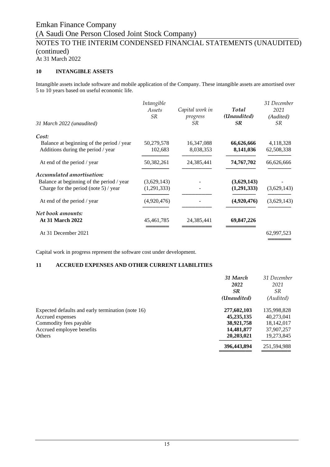At 31 March 2022

### **10 INTANGIBLE ASSETS**

Intangible assets include software and mobile application of the Company. These intangible assets are amortised over 5 to 10 years based on useful economic life.

| Intangible<br>Assets<br><i>SR</i> | Capital work in<br>progress<br>SR. | Total<br>(Unaudited)<br><b>SR</b> | 31 December<br>2021<br>(Audited)<br><i>SR</i> |
|-----------------------------------|------------------------------------|-----------------------------------|-----------------------------------------------|
|                                   |                                    |                                   |                                               |
| 50,279,578                        | 16,347,088                         | 66,626,666                        | 4,118,328                                     |
| 102,683                           | 8,038,353                          | 8,141,036                         | 62,508,338                                    |
| 50,382,261                        | 24,385,441                         | 74,767,702                        | 66,626,666                                    |
|                                   |                                    |                                   |                                               |
| (3,629,143)                       |                                    | (3,629,143)                       |                                               |
| (1,291,333)                       |                                    | (1,291,333)                       | (3,629,143)                                   |
| (4,920,476)                       |                                    | (4,920,476)                       | (3,629,143)                                   |
|                                   |                                    |                                   |                                               |
| 45, 461, 785                      | 24,385,441                         | 69,847,226                        |                                               |
|                                   |                                    |                                   | 62,997,523                                    |
|                                   |                                    |                                   |                                               |

Capital work in progress represent the software cost under development.

#### **11 ACCRUED EXPENSES AND OTHER CURRENT LIABILITIES**

|                                                   | 31 March     | 31 December |
|---------------------------------------------------|--------------|-------------|
|                                                   | 2022         | 2021        |
|                                                   | <b>SR</b>    | SR.         |
|                                                   | (Unaudited)  | (Audited)   |
| Expected defaults and early termination (note 16) | 277,602,103  | 135,998,828 |
| Accrued expenses                                  | 45, 235, 135 | 40,273,041  |
| Commodity fees payable                            | 38,921,758   | 18,142,017  |
| Accrued employee benefits                         | 14,481,877   | 37,907,257  |
| Others                                            | 20,203,021   | 19,273,845  |
|                                                   | 396,443,894  | 251,594,988 |
|                                                   |              |             |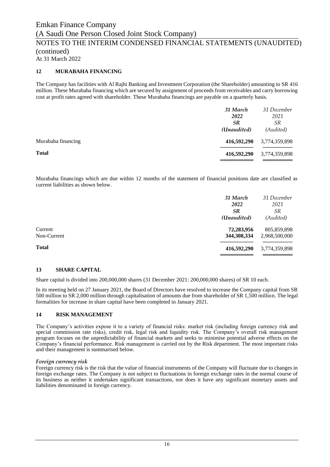### **12 MURABAHA FINANCING**

The Company has facilities with Al Rajhi Banking and Investment Corporation (the Shareholder) amounting to SR 416 million. These Murabaha financing which are secured by assignment of proceeds from receivables and carry borrowing cost at profit rates agreed with shareholder. These Murabaha financings are payable on a quarterly basis.

|                    | 31 March<br>2022<br><b>SR</b><br>(Unaudited) | 31 December<br>2021<br><i>SR</i><br>(Audited) |
|--------------------|----------------------------------------------|-----------------------------------------------|
| Murabaha financing | 416,592,290                                  | 3,774,359,898                                 |
| <b>Total</b>       | 416,592,290                                  | 3,774,359,898                                 |

Murabaha financings which are due within 12 months of the statement of financial positions date are classified as current liabilities as shown below.

|              | 31 March<br>2022 | 31 December<br>2021 |
|--------------|------------------|---------------------|
|              | <b>SR</b>        | <i>SR</i>           |
|              | (Unaudited)      | (Audited)           |
| Current      | 72,283,956       | 805,859,898         |
| Non-Current  | 344,308,334      | 2,968,500,000       |
| <b>Total</b> | 416,592,290      | 3,774,359,898       |
|              |                  |                     |

#### **13 SHARE CAPITAL**

Share capital is divided into 200,000,000 shares (31 December 2021: 200,000,000 shares) of SR 10 each.

In its meeting held on 27 January 2021, the Board of Directors have resolved to increase the Company capital from SR 500 million to SR 2,000 million through capitalisation of amounts due from shareholder of SR 1,500 million. The legal formalities for increase in share capital have been completed in January 2021.

#### **14 RISK MANAGEMENT**

The Company's activities expose it to a variety of financial risks: market risk (including foreign currency risk and special commission rate risks), credit risk, legal risk and liquidity risk. The Company's overall risk management program focuses on the unpredictability of financial markets and seeks to minimise potential adverse effects on the Company's financial performance. Risk management is carried out by the Risk department. The most important risks and their management is summarised below.

#### *Foreign currency risk*

Foreign currency risk is the risk that the value of financial instruments of the Company will fluctuate due to changes in foreign exchange rates. The Company is not subject to fluctuations in foreign exchange rates in the normal course of its business as neither it undertakes significant transactions, nor does it have any significant monetary assets and liabilities denominated in foreign currency.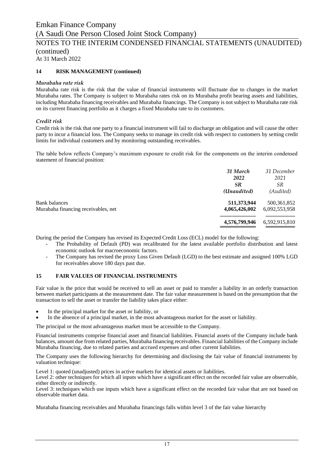### NOTES TO THE INTERIM CONDENSED FINANCIAL STATEMENTS (UNAUDITED) (continued)

At 31 March 2022

### **14 RISK MANAGEMENT (continued)**

#### *Murabaha rate risk*

Murabaha rate risk is the risk that the value of financial instruments will fluctuate due to changes in the market Murabaha rates. The Company is subject to Murabaha rates risk on its Murabaha profit bearing assets and liabilities, including Murabaha financing receivables and Murabaha financings. The Company is not subject to Murabaha rate risk on its current financing portfolio as it charges a fixed Murabaha rate to its customers.

### *Credit risk*

Credit risk is the risk that one party to a financial instrument will fail to discharge an obligation and will cause the other party to incur a financial loss. The Company seeks to manage its credit risk with respect to customers by setting credit limits for individual customers and by monitoring outstanding receivables.

The table below reflects Company's maximum exposure to credit risk for the components on the interim condensed statement of financial position:

|                                                             | 31 March<br>2022<br><b>SR</b> | 31 December<br>2021<br><i>SR</i> |
|-------------------------------------------------------------|-------------------------------|----------------------------------|
|                                                             | (Unaudited)                   | (Audited)                        |
| <b>Bank balances</b><br>Murabaha financing receivables, net | 511,373,944<br>4,065,426,002  | 500, 361, 852<br>6,092,553,958   |
|                                                             | 4,576,799,946                 | 6,592,915,810                    |

During the period the Company has revised its Expected Credit Loss (ECL) model for the following:

- The Probability of Default (PD) was recalibrated for the latest available portfolio distribution and latest economic outlook for macroeconomic factors.
- The Company has revised the proxy Loss Given Default (LGD) to the best estimate and assigned 100% LGD for receivables above 180 days past due.

### **15 FAIR VALUES OF FINANCIAL INSTRUMENTS**

Fair value is the price that would be received to sell an asset or paid to transfer a liability in an orderly transaction between market participants at the measurement date. The fair value measurement is based on the presumption that the transaction to sell the asset or transfer the liability takes place either:

- In the principal market for the asset or liability, or
- In the absence of a principal market, in the most advantageous market for the asset or liability.

The principal or the most advantageous market must be accessible to the Company.

Financial instruments comprise financial asset and financial liabilities. Financial assets of the Company include bank balances, amount due from related parties, Murabaha financing receivables. Financial liabilities of the Company include Murabaha financing, due to related parties and accrued expenses and other current liabilities.

The Company uses the following hierarchy for determining and disclosing the fair value of financial instruments by valuation technique:

Level 1: quoted (unadjusted) prices in active markets for identical assets or liabilities.

Level 2: other techniques for which all inputs which have a significant effect on the recorded fair value are observable, either directly or indirectly.

Level 3: techniques which use inputs which have a significant effect on the recorded fair value that are not based on observable market data.

Murabaha financing receivables and Murabaha financings falls within level 3 of the fair value hierarchy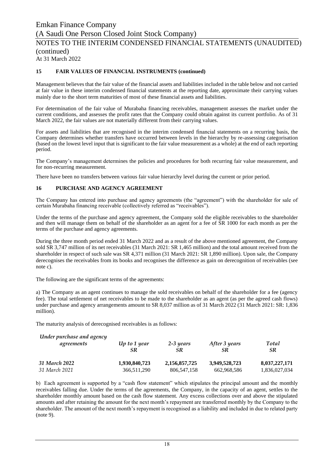### **15 FAIR VALUES OF FINANCIAL INSTRUMENTS (continued)**

Management believes that the fair value of the financial assets and liabilities included in the table below and not carried at fair value in these interim condensed financial statements at the reporting date, approximate their carrying values mainly due to the short term maturities of most of these financial assets and liabilities.

For determination of the fair value of Murabaha financing receivables, management assesses the market under the current conditions, and assesses the profit rates that the Company could obtain against its current portfolio. As of 31 March 2022, the fair values are not materially different from their carrying values.

For assets and liabilities that are recognised in the interim condensed financial statements on a recurring basis, the Company determines whether transfers have occurred between levels in the hierarchy by re-assessing categorisation (based on the lowest level input that is significant to the fair value measurement as a whole) at the end of each reporting period.

The Company's management determines the policies and procedures for both recurring fair value measurement, and for non-recurring measurement.

There have been no transfers between various fair value hierarchy level during the current or prior period.

#### **16 PURCHASE AND AGENCY AGREEMENT**

The Company has entered into purchase and agency agreements (the "agreement") with the shareholder for sale of certain Murabaha financing receivable (collectively referred as "receivables").

Under the terms of the purchase and agency agreement, the Company sold the eligible receivables to the shareholder and then will manage them on behalf of the shareholder as an agent for a fee of SR 1000 for each month as per the terms of the purchase and agency agreements.

During the three month period ended 31 March 2022 and as a result of the above mentioned agreement, the Company sold SR 3,747 million of its net receivables (31 March 2021: SR 1,465 million) and the total amount received from the shareholder in respect of such sale was SR 4,371 million (31 March 2021: SR 1,890 million). Upon sale, the Company derecognises the receivables from its books and recognises the difference as gain on derecognition of receivables (see note c).

The following are the significant terms of the agreements:

a) The Company as an agent continues to manage the sold receivables on behalf of the shareholder for a fee (agency fee). The total settlement of net receivables to be made to the shareholder as an agent (as per the agreed cash flows) under purchase and agency arrangements amount to SR 8,037 million as of 31 March 2022 (31 March 2021: SR: 1,836 million).

The maturity analysis of derecognised receivables is as follows:

| Under purchase and agency |                |               |               |               |
|---------------------------|----------------|---------------|---------------|---------------|
| agreements                | $Up$ to 1 year | 2-3 years     | After 3 years | Total         |
|                           | SR             | SR            | SR            | <b>SR</b>     |
| 31 March 2022             | 1,930,840,723  | 2,156,857,725 | 3.949.528.723 | 8,037,227,171 |
| 31 March 2021             | 366,511,290    | 806, 547, 158 | 662,968,586   | 1,836,027,034 |

b) Each agreement is supported by a "cash flow statement" which stipulates the principal amount and the monthly receivables falling due. Under the terms of the agreements, the Company, in the capacity of an agent, settles to the shareholder monthly amount based on the cash flow statement. Any excess collections over and above the stipulated amounts and after retaining the amount for the next month's repayment are transferred monthly by the Company to the shareholder. The amount of the next month's repayment is recognised as a liability and included in due to related party (note 9).